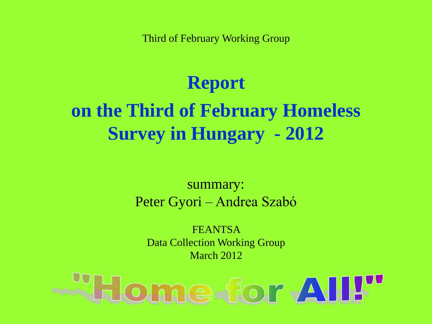Third of February Working Group

# **Report**

# **on the Third of February Homeless Survey in Hungary - 2012**

#### summary: Peter Gyori – Andrea Szabó

FEANTSA Data Collection Working Group March 2012

# ome-for AII!"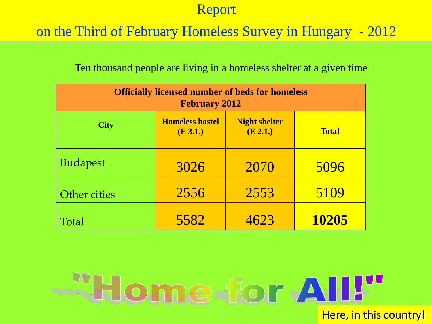### on the Third of February Homeless Survey in Hungary - 2012

#### Ten thousand people are living in a homeless shelter at a given time

| <b>Officially licensed number of beds for homeless</b><br><b>February 2012</b> |                                                                        |      |       |  |  |  |  |  |
|--------------------------------------------------------------------------------|------------------------------------------------------------------------|------|-------|--|--|--|--|--|
| <b>City</b>                                                                    | <b>Homeless hostel</b><br><b>Night shelter</b><br>(E 2.1.)<br>(E 3.1.) |      |       |  |  |  |  |  |
| <b>Budapest</b>                                                                | 3026                                                                   | 2070 | 5096  |  |  |  |  |  |
| Other cities                                                                   | 2556                                                                   | 2553 | 5109  |  |  |  |  |  |
| Total                                                                          | 5582                                                                   | 4623 | 10205 |  |  |  |  |  |

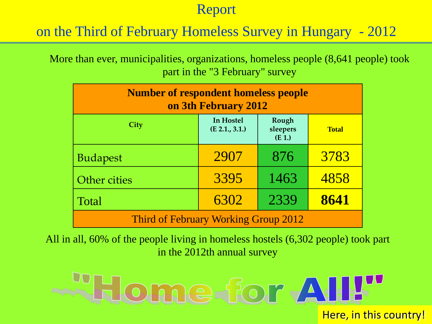## on the Third of February Homeless Survey in Hungary - 2012

More than ever, municipalities, organizations, homeless people (8,641 people) took part in the "3 February" survey

| <b>Number of respondent homeless people</b><br>on 3th February 2012 |                             |                              |              |  |  |  |  |
|---------------------------------------------------------------------|-----------------------------|------------------------------|--------------|--|--|--|--|
| City                                                                | In Hostel<br>(E 2.1., 3.1.) | Rough<br>sleepers<br>$(E_1)$ | <b>Total</b> |  |  |  |  |
| <b>Budapest</b>                                                     | 2907                        | 876                          | 3783         |  |  |  |  |
| Other cities                                                        | 3395                        | 1463                         | 4858         |  |  |  |  |
| <b>Total</b>                                                        | 6302                        | 2339                         | 8641         |  |  |  |  |
| Third of February Working Group 2012                                |                             |                              |              |  |  |  |  |

All in all, 60% of the people living in homeless hostels (6,302 people) took part in the 2012th annual survey

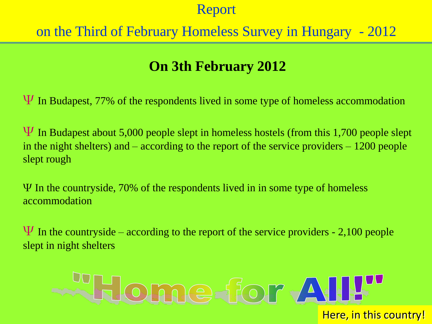# on the Third of February Homeless Survey in Hungary - 2012

# **On 3th February 2012**

 $\Psi$  In Budapest, 77% of the respondents lived in some type of homeless accommodation

 $\Psi$  In Budapest about 5,000 people slept in homeless hostels (from this 1,700 people slept in the night shelters) and – according to the report of the service providers – 1200 people slept rough

Ψ In the countryside, 70% of the respondents lived in in some type of homeless accommodation

 $\Psi$  In the countryside – according to the report of the service providers - 2,100 people slept in night shelters

# **Elome** for All!" Here, in this country!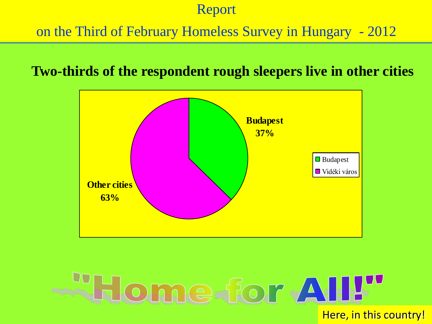# on the Third of February Homeless Survey in Hungary - 2012

#### **Two-thirds of the respondent rough sleepers live in other cities**



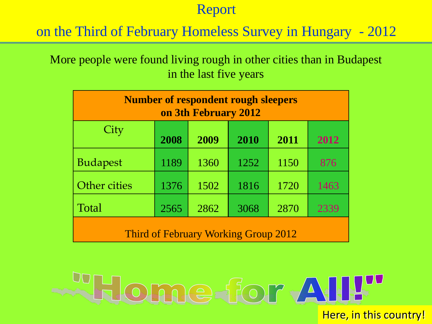on the Third of February Homeless Survey in Hungary - 2012

More people were found living rough in other cities than in Budapest in the last five years

| <b>Number of respondent rough sleepers</b><br>on 3th February 2012 |                                      |      |      |      |      |  |  |  |
|--------------------------------------------------------------------|--------------------------------------|------|------|------|------|--|--|--|
| City                                                               | 2008<br>2009<br>2010<br>2011<br>2012 |      |      |      |      |  |  |  |
| <b>Budapest</b>                                                    | 1189                                 | 1360 | 1252 | 1150 | 876  |  |  |  |
| Other cities                                                       | 1376                                 | 1502 | 1816 | 1720 | 1463 |  |  |  |
| Total<br>2870<br>2565<br>2862<br>3068<br>2339                      |                                      |      |      |      |      |  |  |  |
| Third of February Working Group 2012                               |                                      |      |      |      |      |  |  |  |

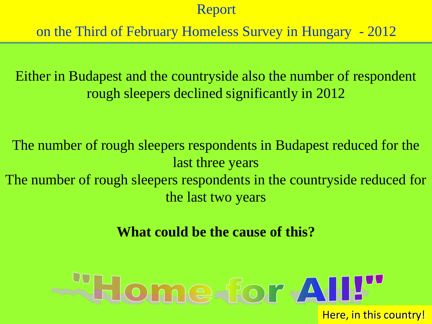on the Third of February Homeless Survey in Hungary - 2012

Either in Budapest and the countryside also the number of respondent rough sleepers declined significantly in 2012

The number of rough sleepers respondents in Budapest reduced for the last three years The number of rough sleepers respondents in the countryside reduced for the last two years

**What could be the cause of this?**

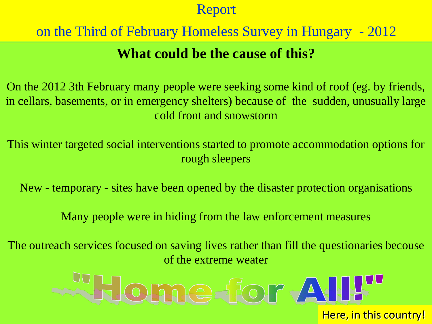# on the Third of February Homeless Survey in Hungary - 2012

# **What could be the cause of this?**

On the 2012 3th February many people were seeking some kind of roof (eg. by friends, in cellars, basements, or in emergency shelters) because of the sudden, unusually large cold front and snowstorm

This winter targeted social interventions started to promote accommodation options for rough sleepers

New - temporary - sites have been opened by the disaster protection organisations

Many people were in hiding from the law enforcement measures

The outreach services focused on saving lives rather than fill the questionaries becouse of the extreme weater

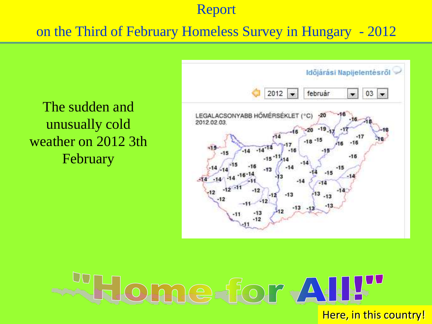## on the Third of February Homeless Survey in Hungary - 2012



The sudden and unusually cold weather on 2012 3th February

# For All!" Here, in this country!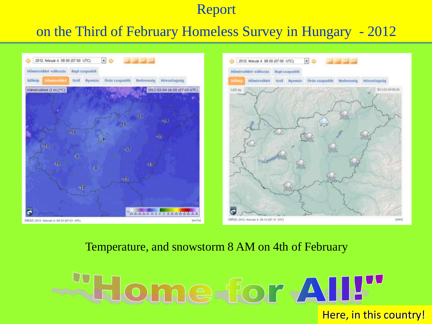#### on the Third of February Homeless Survey in Hungary - 2012



#### Temperature, and snowstorm 8 AM on 4th of February

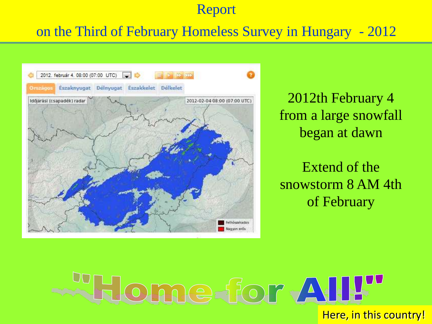## on the Third of February Homeless Survey in Hungary - 2012



2012th February 4 from a large snowfall began at dawn

Extend of the snowstorm 8 AM 4th of February

Home for All!" Here, in this country!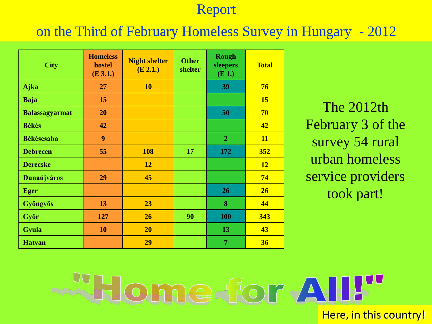#### on the Third of February Homeless Survey in Hungary - 2012

| <b>City</b>           | <b>Homeless</b><br>hostel<br>(E 3.1.) | <b>Night shelter</b><br>(E 2.1.) | <b>Other</b><br>shelter | <b>Rough</b><br>sleepers<br>$(E_1)$ | <b>Total</b> |
|-----------------------|---------------------------------------|----------------------------------|-------------------------|-------------------------------------|--------------|
| Ajka                  | 27                                    | <b>10</b>                        |                         | 39                                  | 76           |
| <b>Baja</b>           | 15                                    |                                  |                         |                                     | <b>15</b>    |
| <b>Balassagyarmat</b> | 20                                    |                                  |                         | 50                                  | 70           |
| <b>Békés</b>          | 42                                    |                                  |                         |                                     | 42           |
| <b>Békéscsaba</b>     | 9                                     |                                  |                         | $\overline{2}$                      | <b>11</b>    |
| <b>Debrecen</b>       | 55                                    | <b>108</b>                       | 17                      | 172                                 | 352          |
| <b>Derecske</b>       |                                       | 12                               |                         |                                     | 12           |
| <b>Dunaújváros</b>    | 29                                    | 45                               |                         |                                     | 74           |
| <b>Eger</b>           |                                       |                                  |                         | 26                                  | 26           |
| Gyöngyös              | 13                                    | 23                               |                         | 8                                   | 44           |
| Győr                  | 127                                   | 26                               | 90                      | 100                                 | 343          |
| <b>Gyula</b>          | 10                                    | <b>20</b>                        |                         | 13                                  | 43           |
| <b>Hatvan</b>         |                                       | 29                               |                         | $\overline{7}$                      | 36           |

The 2012th February 3 of the survey 54 rural urban homeless service providers took part!

lome for All!" Here, in this country!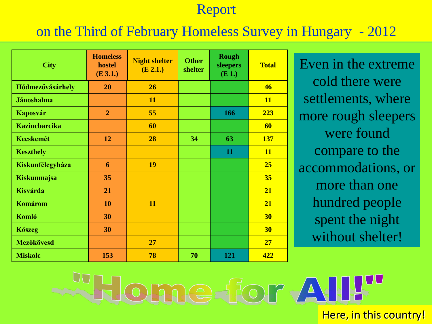### on the Third of February Homeless Survey in Hungary - 2012

| <b>City</b>          | <b>Homeless</b><br>hostel<br>(E 3.1.) | <b>Night shelter</b><br>(E 2.1.) | <b>Other</b><br>shelter | <b>Rough</b><br>sleepers<br>$(E_1)$ | <b>Total</b> |
|----------------------|---------------------------------------|----------------------------------|-------------------------|-------------------------------------|--------------|
| Hódmezővásárhely     | 20                                    | 26                               |                         |                                     | 46           |
| <b>Jánoshalma</b>    |                                       | 11                               |                         |                                     | <b>11</b>    |
| Kaposvár             | $\overline{2}$                        | 55                               |                         | 166                                 | 223          |
| <b>Kazincbarcika</b> |                                       | 60                               |                         |                                     | 60           |
| <b>Kecskemét</b>     | 12                                    | 28                               | 34                      | 63                                  | <b>137</b>   |
| <b>Keszthely</b>     |                                       |                                  |                         | 11                                  | <b>11</b>    |
| Kiskunfélegyháza     | 6                                     | 19                               |                         |                                     | 25           |
| Kiskunmajsa          | 35                                    |                                  |                         |                                     | 35           |
| <b>Kisvárda</b>      | 21                                    |                                  |                         |                                     | 21           |
| <b>Komárom</b>       | 10                                    | 11                               |                         |                                     | 21           |
| <b>Komló</b>         | 30                                    |                                  |                         |                                     | <b>30</b>    |
| <b>K</b> őszeg       | 30                                    |                                  |                         |                                     | <b>30</b>    |
| <b>Mezőkövesd</b>    |                                       | 27                               |                         |                                     | 27           |
| <b>Miskolc</b>       | 153                                   | 78                               | 70                      | 121                                 | 422          |

Even in the extreme cold there were settlements, where more rough sleepers were found compare to the accommodations, or more than one hundred people spent the night without shelter!

ome for AII"

Here, in this country!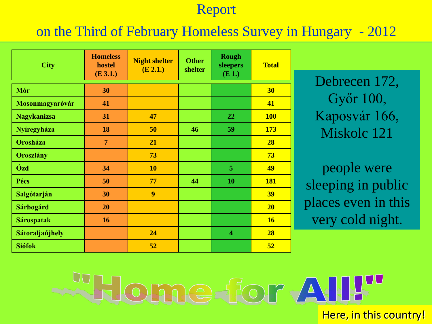#### on the Third of February Homeless Survey in Hungary - 2012

| <b>City</b>        | <b>Homeless</b><br>hostel<br>(E 3.1.) | <b>Night shelter</b><br>(E 2.1.) | <b>Other</b><br>shelter | <b>Rough</b><br>sleepers<br>$(E_1)$ | <b>Total</b> |
|--------------------|---------------------------------------|----------------------------------|-------------------------|-------------------------------------|--------------|
| Mór                | 30                                    |                                  |                         |                                     | 30           |
| Mosonmagyaróvár    | 41                                    |                                  |                         |                                     | 41           |
| <b>Nagykanizsa</b> | 31                                    | 47                               |                         | 22                                  | <b>100</b>   |
| Nyíregyháza        | 18                                    | 50                               | 46                      | 59                                  | 173          |
| <b>Orosháza</b>    | $\overline{7}$                        | 21                               |                         |                                     | 28           |
| <b>Oroszlány</b>   |                                       | 73                               |                         |                                     | 73           |
| Ózd                | 34                                    | 10                               |                         | 5                                   | 49           |
| Pécs               | 50                                    | 77                               | 44                      | 10                                  | <b>181</b>   |
| Salgótarján        | 30                                    | 9                                |                         |                                     | <b>39</b>    |
| Sárbogárd          | 20                                    |                                  |                         |                                     | 20           |
| <b>Sárospatak</b>  | 16                                    |                                  |                         |                                     | <b>16</b>    |
| Sátoraljaújhely    |                                       | 24                               |                         | $\overline{\mathbf{4}}$             | 28           |
| <b>Siófok</b>      |                                       | 52                               |                         |                                     | 52           |

Debrecen 172, Győr 100, Kaposvár 166, Miskolc 121

people were sleeping in public places even in this very cold night.

Home-for All!" Here, in this country!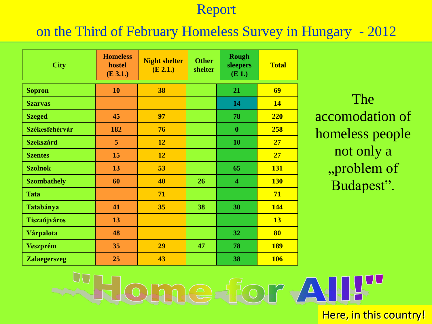### on the Third of February Homeless Survey in Hungary - 2012

| <b>City</b>         | <b>Homeless</b><br>hostel<br>(E 3.1.) | <b>Night shelter</b><br>(E 2.1.) | <b>Other</b><br>shelter | <b>Rough</b><br>sleepers<br>$(E_1)$ | <b>Total</b> |
|---------------------|---------------------------------------|----------------------------------|-------------------------|-------------------------------------|--------------|
| <b>Sopron</b>       | 10                                    | 38                               |                         | 21                                  | 69           |
| <b>Szarvas</b>      |                                       |                                  |                         | 14                                  | <b>14</b>    |
| <b>Szeged</b>       | 45                                    | 97                               | 78                      |                                     | 220          |
| Székesfehérvár      | 182                                   | 76                               |                         | $\boldsymbol{0}$                    | 258          |
| <b>Szekszárd</b>    | 5                                     | 12                               |                         | 10                                  | 27           |
| <b>Szentes</b>      | 15                                    | 12                               |                         |                                     | 27           |
| <b>Szolnok</b>      | 13                                    | 53                               |                         | 65                                  | <b>131</b>   |
| <b>Szombathely</b>  | 60                                    | 40                               | 26                      | $\overline{\mathbf{4}}$             | <b>130</b>   |
| <b>Tata</b>         |                                       | 71                               |                         |                                     | 71           |
| Tatabánya           | 41                                    | 35                               | 38                      | 30                                  | <b>144</b>   |
| <b>Tiszaújváros</b> | 13                                    |                                  |                         |                                     | <b>13</b>    |
| Várpalota           | 48                                    |                                  |                         | 32                                  | 80           |
| <b>Veszprém</b>     | 35                                    | 29                               | 47                      | 78                                  | <b>189</b>   |
| <b>Zalaegerszeg</b> | 25                                    | 43                               |                         | 38                                  | <b>106</b>   |

The accomodation of homeless people not only a "problem of Budapest".

me-for AII!" Here, in this country!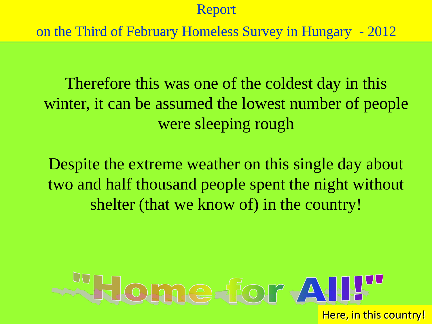on the Third of February Homeless Survey in Hungary - 2012

Therefore this was one of the coldest day in this winter, it can be assumed the lowest number of people were sleeping rough

Despite the extreme weather on this single day about two and half thousand people spent the night without shelter (that we know of) in the country!

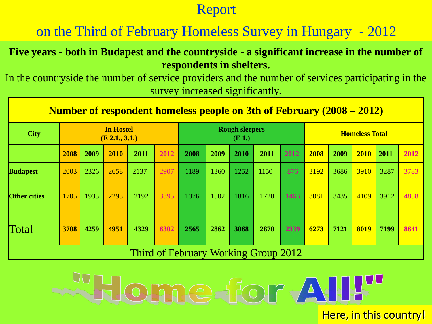on the Third of February Homeless Survey in Hungary - 2012

**Five years - both in Budapest and the countryside - a significant increase in the number of respondents in shelters.**

In the countryside the number of service providers and the number of services participating in the survey increased significantly.

| <b>Number of respondent homeless people on 3th of February (2008 – 2012)</b> |                                       |      |      |      |                                  |                                      |      |      |                       |      |      |      |      |      |      |
|------------------------------------------------------------------------------|---------------------------------------|------|------|------|----------------------------------|--------------------------------------|------|------|-----------------------|------|------|------|------|------|------|
| <b>City</b>                                                                  | <b>In Hostel</b><br>$(E\,2.1., 3.1.)$ |      |      |      | <b>Rough sleepers</b><br>$(E_1)$ |                                      |      |      | <b>Homeless Total</b> |      |      |      |      |      |      |
|                                                                              | 2008                                  | 2009 | 2010 | 2011 | 2012                             | 2008                                 | 2009 | 2010 | 2011                  | 2012 | 2008 | 2009 | 2010 | 2011 | 2012 |
| <b>Budapest</b>                                                              | 2003                                  | 2326 | 2658 | 2137 | 2907                             | 1189                                 | 1360 | 1252 | 1150                  | 876  | 3192 | 3686 | 3910 | 3287 | 3783 |
| <b>Other cities</b>                                                          | 1705                                  | 1933 | 2293 | 2192 | 3395                             | 1376                                 | 1502 | 1816 | 1720                  | 1463 | 3081 | 3435 | 4109 | 3912 | 4858 |
| Total                                                                        | 3708                                  | 4259 | 4951 | 4329 | 6302                             | 2565                                 | 2862 | 3068 | 2870                  | 2339 | 6273 | 7121 | 8019 | 7199 | 8641 |
|                                                                              |                                       |      |      |      |                                  | Third of February Working Group 2012 |      |      |                       |      |      |      |      |      |      |

**SHome for All!"** 

Here, in this country!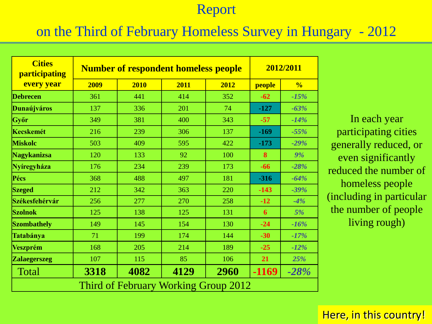#### on the Third of February Homeless Survey in Hungary - 2012

| <b>Cities</b><br>participating | <b>Number of respondent homeless people</b> | 2012/2011                            |      |      |        |               |
|--------------------------------|---------------------------------------------|--------------------------------------|------|------|--------|---------------|
| every year                     | 2009                                        | 2010                                 | 2011 | 2012 | people | $\frac{0}{0}$ |
| <b>Debrecen</b>                | 361                                         | 441                                  | 414  | 352  | $-62$  | $-15%$        |
| <b>Dunaújváros</b>             | 137                                         | 336                                  | 201  | 74   | $-127$ | $-63%$        |
| Győr                           | 349                                         | 381                                  | 400  | 343  | $-57$  | $-14%$        |
| <b>Kecskemét</b>               | 216                                         | 239                                  | 306  | 137  | $-169$ | $-55%$        |
| <b>Miskolc</b>                 | 503                                         | 409                                  | 595  | 422  | $-173$ | $-29%$        |
| Nagykanizsa                    | 120                                         | 133                                  | 92   | 100  | 8      | 9%            |
| Nyíregyháza                    | 176                                         | 234                                  | 239  | 173  | $-66$  | $-28%$        |
| Pécs                           | 368                                         | 488                                  | 497  | 181  | $-316$ | $-64%$        |
| <b>Szeged</b>                  | 212                                         | 342                                  | 363  | 220  | $-143$ | $-39%$        |
| Székesfehérvár                 | 256                                         | 277                                  | 270  | 258  | $-12$  | $-4%$         |
| <b>Szolnok</b>                 | 125                                         | 138                                  | 125  | 131  | 6      | 5%            |
| <b>Szombathely</b>             | 149                                         | 145                                  | 154  | 130  | $-24$  | $-16%$        |
| Tatabánya                      | 71                                          | 199                                  | 174  | 144  | $-30$  | $-17%$        |
| <b>Veszprém</b>                | 168                                         | 205                                  | 214  | 189  | $-25$  | $-12%$        |
| <b>Zalaegerszeg</b>            | 107                                         | 115                                  | 85   | 106  | 21     | 25%           |
| Total                          | 3318                                        | 4082                                 | 4129 | 2960 | -1169  | $-28%$        |
|                                |                                             | Third of February Working Group 2012 |      |      |        |               |

In each year participating cities generally reduced, or even significantly reduced the number of homeless people (including in particular the number of people living rough)

#### Here, in this country!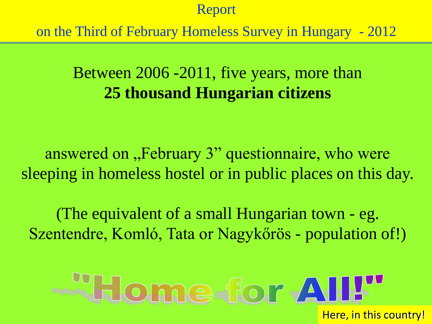on the Third of February Homeless Survey in Hungary - 2012

# Between 2006 -2011, five years, more than **25 thousand Hungarian citizens**

answered on "February 3" questionnaire, who were sleeping in homeless hostel or in public places on this day.

(The equivalent of a small Hungarian town - eg. Szentendre, Komló, Tata or Nagykőrös - population of!)

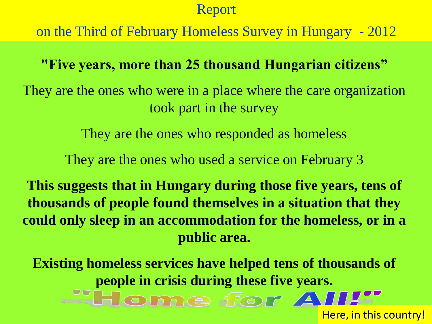on the Third of February Homeless Survey in Hungary - 2012

**"Five years, more than 25 thousand Hungarian citizens"**

They are the ones who were in a place where the care organization took part in the survey

They are the ones who responded as homeless

They are the ones who used a service on February 3

**This suggests that in Hungary during those five years, tens of thousands of people found themselves in a situation that they could only sleep in an accommodation for the homeless, or in a public area.** 

**Existing homeless services have helped tens of thousands of people in crisis during these five years.** Home for AII!

Here, in this country!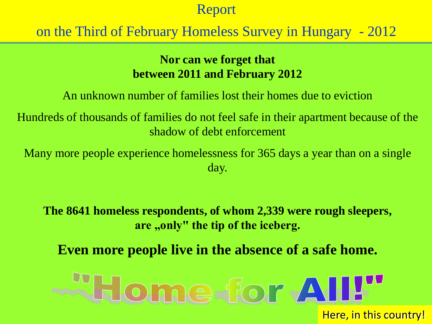# on the Third of February Homeless Survey in Hungary - 2012

#### **Nor can we forget that between 2011 and February 2012**

An unknown number of families lost their homes due to eviction

Hundreds of thousands of families do not feel safe in their apartment because of the shadow of debt enforcement

Many more people experience homelessness for 365 days a year than on a single day.

**The 8641 homeless respondents, of whom 2,339 were rough sleepers,**  are "only" the tip of the iceberg.

**Even more people live in the absence of a safe home.**

# Home for All!" Here, in this country!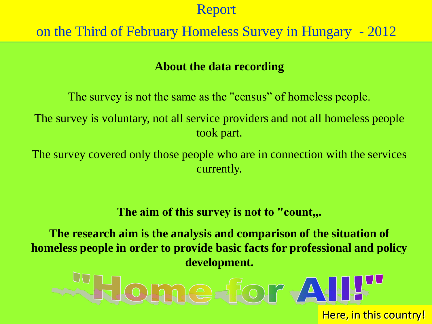# on the Third of February Homeless Survey in Hungary - 2012

#### **About the data recording**

The survey is not the same as the "census" of homeless people. The survey is voluntary, not all service providers and not all homeless people took part.

The survey covered only those people who are in connection with the services currently.

The aim of this survey is not to "count,..

**The research aim is the analysis and comparison of the situation of homeless people in order to provide basic facts for professional and policy development.**

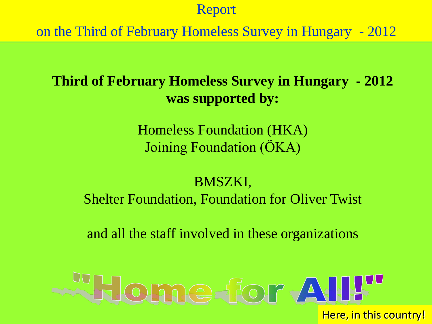on the Third of February Homeless Survey in Hungary - 2012

# **Third of February Homeless Survey in Hungary - 2012 was supported by:**

Homeless Foundation (HKA) Joining Foundation (ÖKA)

# BMSZKI, Shelter Foundation, Foundation for Oliver Twist

and all the staff involved in these organizations